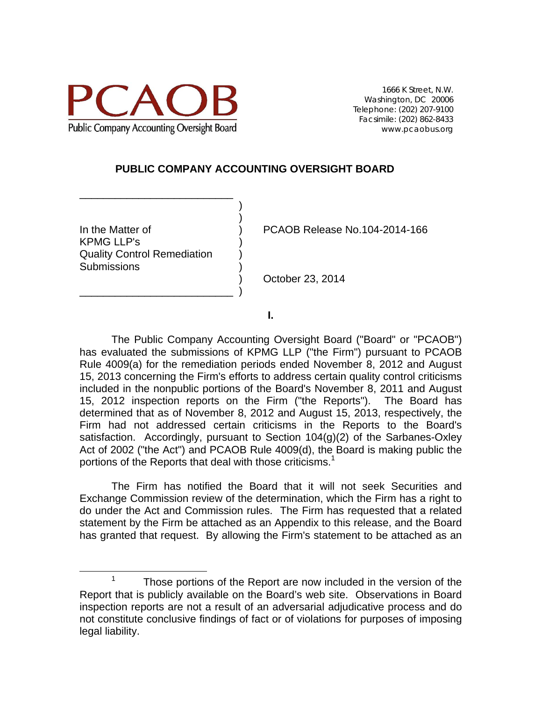

1666 K Street, N.W. Washington, DC 20006 Telephone: (202) 207-9100 Facsimile: (202) 862-8433 www.pcaobus.org

### **PUBLIC COMPANY ACCOUNTING OVERSIGHT BOARD**

 $)$ KPMG LLP's ) Quality Control Remediation ) Submissions )

\_\_\_\_\_\_\_\_\_\_\_\_\_\_\_\_\_\_\_\_\_\_\_\_\_\_  $)$ 

\_\_\_\_\_\_\_\_\_\_\_\_\_\_\_\_\_\_\_\_\_\_\_\_\_\_ )

In the Matter of ) PCAOB Release No.104-2014-166

) October 23, 2014

**I.** 

The Public Company Accounting Oversight Board ("Board" or "PCAOB") has evaluated the submissions of KPMG LLP ("the Firm") pursuant to PCAOB Rule 4009(a) for the remediation periods ended November 8, 2012 and August 15, 2013 concerning the Firm's efforts to address certain quality control criticisms included in the nonpublic portions of the Board's November 8, 2011 and August 15, 2012 inspection reports on the Firm ("the Reports"). The Board has determined that as of November 8, 2012 and August 15, 2013, respectively, the Firm had not addressed certain criticisms in the Reports to the Board's satisfaction. Accordingly, pursuant to Section 104(g)(2) of the Sarbanes-Oxley Act of 2002 ("the Act") and PCAOB Rule 4009(d), the Board is making public the portions of the Reports that deal with those criticisms.<sup>1</sup>

The Firm has notified the Board that it will not seek Securities and Exchange Commission review of the determination, which the Firm has a right to do under the Act and Commission rules. The Firm has requested that a related statement by the Firm be attached as an Appendix to this release, and the Board has granted that request. By allowing the Firm's statement to be attached as an

Those portions of the Report are now included in the version of the Report that is publicly available on the Board's web site. Observations in Board inspection reports are not a result of an adversarial adjudicative process and do not constitute conclusive findings of fact or of violations for purposes of imposing legal liability.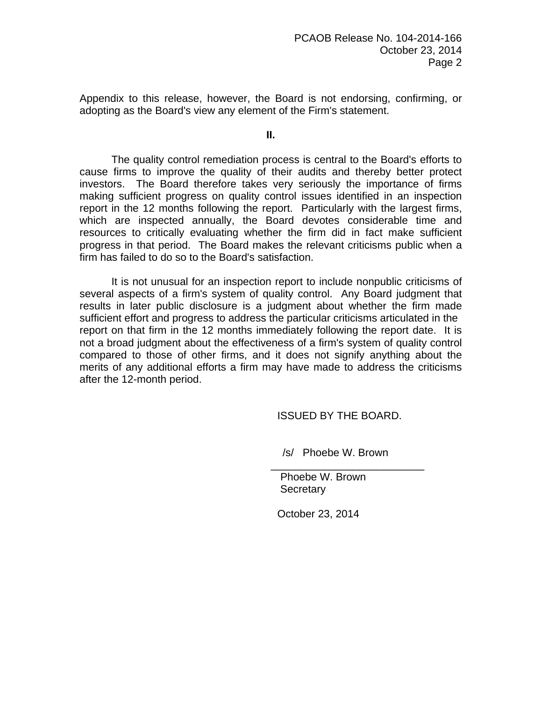Appendix to this release, however, the Board is not endorsing, confirming, or adopting as the Board's view any element of the Firm's statement.

**II.**

 The quality control remediation process is central to the Board's efforts to cause firms to improve the quality of their audits and thereby better protect investors. The Board therefore takes very seriously the importance of firms making sufficient progress on quality control issues identified in an inspection report in the 12 months following the report. Particularly with the largest firms, which are inspected annually, the Board devotes considerable time and resources to critically evaluating whether the firm did in fact make sufficient progress in that period. The Board makes the relevant criticisms public when a firm has failed to do so to the Board's satisfaction.

It is not unusual for an inspection report to include nonpublic criticisms of several aspects of a firm's system of quality control. Any Board judgment that results in later public disclosure is a judgment about whether the firm made sufficient effort and progress to address the particular criticisms articulated in the report on that firm in the 12 months immediately following the report date. It is not a broad judgment about the effectiveness of a firm's system of quality control compared to those of other firms, and it does not signify anything about the merits of any additional efforts a firm may have made to address the criticisms after the 12-month period.

ISSUED BY THE BOARD.

/s/ Phoebe W. Brown

\_\_\_\_\_\_\_\_\_\_\_\_\_\_\_\_\_\_\_\_\_\_\_\_\_\_

 Phoebe W. Brown **Secretary** 

October 23, 2014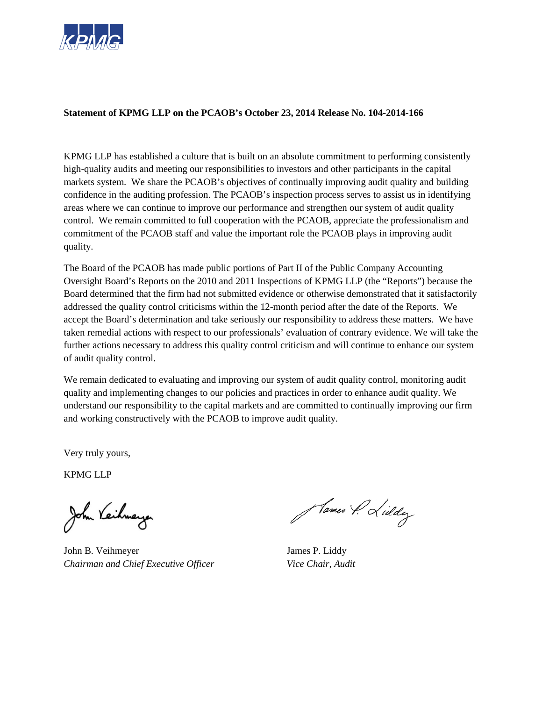

#### **Statement of KPMG LLP on the PCAOB's October 23, 2014 Release No. 104-2014-166**

KPMG LLP has established a culture that is built on an absolute commitment to performing consistently high-quality audits and meeting our responsibilities to investors and other participants in the capital markets system. We share the PCAOB's objectives of continually improving audit quality and building confidence in the auditing profession. The PCAOB's inspection process serves to assist us in identifying areas where we can continue to improve our performance and strengthen our system of audit quality control. We remain committed to full cooperation with the PCAOB, appreciate the professionalism and commitment of the PCAOB staff and value the important role the PCAOB plays in improving audit quality.

The Board of the PCAOB has made public portions of Part II of the Public Company Accounting Oversight Board's Reports on the 2010 and 2011 Inspections of KPMG LLP (the "Reports") because the Board determined that the firm had not submitted evidence or otherwise demonstrated that it satisfactorily addressed the quality control criticisms within the 12-month period after the date of the Reports. We accept the Board's determination and take seriously our responsibility to address these matters. We have taken remedial actions with respect to our professionals' evaluation of contrary evidence. We will take the further actions necessary to address this quality control criticism and will continue to enhance our system of audit quality control.

We remain dedicated to evaluating and improving our system of audit quality control, monitoring audit quality and implementing changes to our policies and practices in order to enhance audit quality. We understand our responsibility to the capital markets and are committed to continually improving our firm and working constructively with the PCAOB to improve audit quality.

Very truly yours,

KPMG LLP

John B. Veihmeyer James P. Liddy *Chairman and Chief Executive Officer Vice Chair, Audit* 

Hames P. Lieldy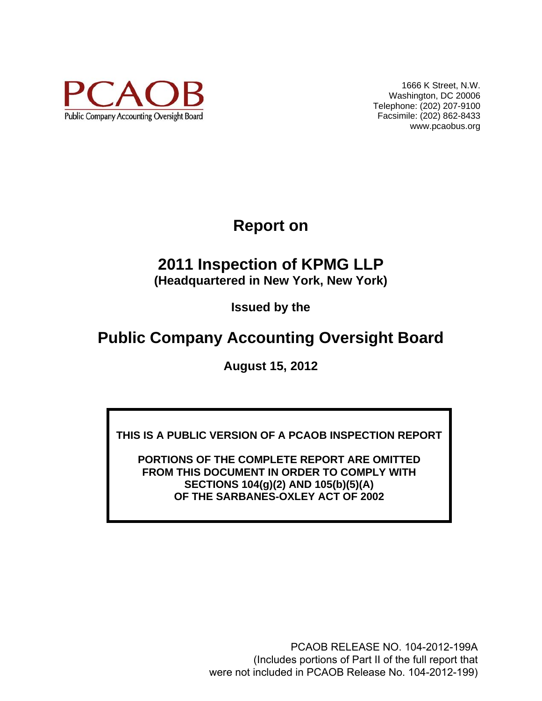

1666 K Street, N.W. Washington, DC 20006 Telephone: (202) 207-9100 Facsimile: (202) 862-8433 www.pcaobus.org

**Report on** 

# **2011 Inspection of KPMG LLP (Headquartered in New York, New York)**

**Issued by the** 

# **Public Company Accounting Oversight Board**

**August 15, 2012** 

**THIS IS A PUBLIC VERSION OF A PCAOB INSPECTION REPORT** 

**PORTIONS OF THE COMPLETE REPORT ARE OMITTED FROM THIS DOCUMENT IN ORDER TO COMPLY WITH SECTIONS 104(g)(2) AND 105(b)(5)(A) OF THE SARBANES-OXLEY ACT OF 2002** 

> PCAOB RELEASE NO. 104-2012-199A (Includes portions of Part II of the full report that were not included in PCAOB Release No. 104-2012-199)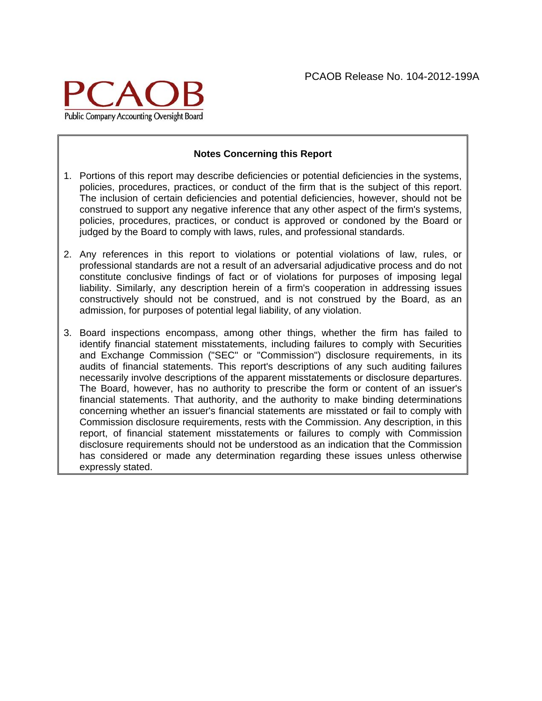

#### **Notes Concerning this Report**

- 1. Portions of this report may describe deficiencies or potential deficiencies in the systems, policies, procedures, practices, or conduct of the firm that is the subject of this report. The inclusion of certain deficiencies and potential deficiencies, however, should not be construed to support any negative inference that any other aspect of the firm's systems, policies, procedures, practices, or conduct is approved or condoned by the Board or judged by the Board to comply with laws, rules, and professional standards.
- 2. Any references in this report to violations or potential violations of law, rules, or professional standards are not a result of an adversarial adjudicative process and do not constitute conclusive findings of fact or of violations for purposes of imposing legal liability. Similarly, any description herein of a firm's cooperation in addressing issues constructively should not be construed, and is not construed by the Board, as an admission, for purposes of potential legal liability, of any violation.
- 3. Board inspections encompass, among other things, whether the firm has failed to identify financial statement misstatements, including failures to comply with Securities and Exchange Commission ("SEC" or "Commission") disclosure requirements, in its audits of financial statements. This report's descriptions of any such auditing failures necessarily involve descriptions of the apparent misstatements or disclosure departures. The Board, however, has no authority to prescribe the form or content of an issuer's financial statements. That authority, and the authority to make binding determinations concerning whether an issuer's financial statements are misstated or fail to comply with Commission disclosure requirements, rests with the Commission. Any description, in this report, of financial statement misstatements or failures to comply with Commission disclosure requirements should not be understood as an indication that the Commission has considered or made any determination regarding these issues unless otherwise expressly stated.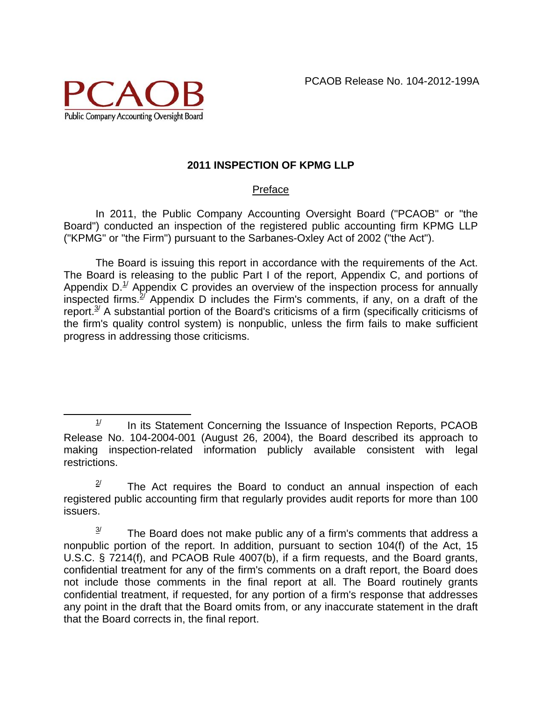

# **2011 INSPECTION OF KPMG LLP**

# Preface

In 2011, the Public Company Accounting Oversight Board ("PCAOB" or "the Board") conducted an inspection of the registered public accounting firm KPMG LLP ("KPMG" or "the Firm") pursuant to the Sarbanes-Oxley Act of 2002 ("the Act").

The Board is issuing this report in accordance with the requirements of the Act. The Board is releasing to the public Part I of the report, Appendix C, and portions of Appendix  $D<sup>1</sup>$  Appendix C provides an overview of the inspection process for annually inspected firms.<sup> $2/$ </sup> Appendix D includes the Firm's comments, if any, on a draft of the report. $3/2$  A substantial portion of the Board's criticisms of a firm (specifically criticisms of the firm's quality control system) is nonpublic, unless the firm fails to make sufficient progress in addressing those criticisms.

 $1/$  In its Statement Concerning the Issuance of Inspection Reports, PCAOB Release No. 104-2004-001 (August 26, 2004), the Board described its approach to making inspection-related information publicly available consistent with legal restrictions.

 $2^{\prime}$  The Act requires the Board to conduct an annual inspection of each registered public accounting firm that regularly provides audit reports for more than 100 issuers.<br><sup>3/</sup> The Board does not make public any of a firm's comments that address a

nonpublic portion of the report. In addition, pursuant to section 104(f) of the Act, 15 U.S.C. § 7214(f), and PCAOB Rule 4007(b), if a firm requests, and the Board grants, confidential treatment for any of the firm's comments on a draft report, the Board does not include those comments in the final report at all. The Board routinely grants confidential treatment, if requested, for any portion of a firm's response that addresses any point in the draft that the Board omits from, or any inaccurate statement in the draft that the Board corrects in, the final report.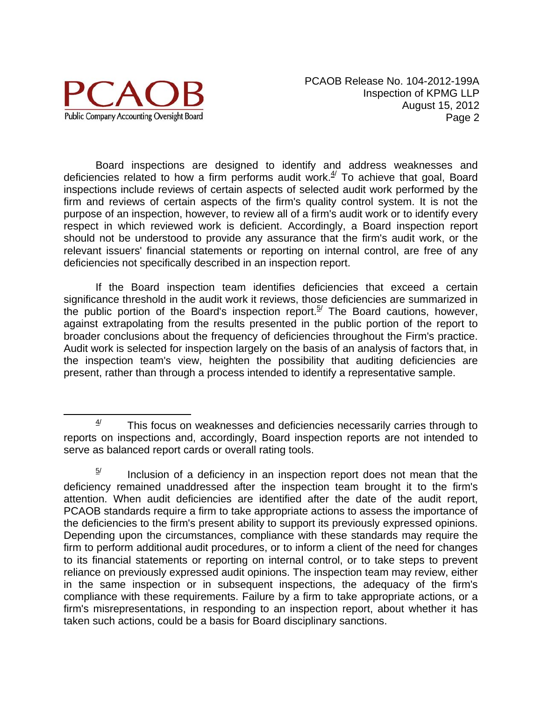

Board inspections are designed to identify and address weaknesses and deficiencies related to how a firm performs audit work. $4/$  To achieve that goal, Board inspections include reviews of certain aspects of selected audit work performed by the firm and reviews of certain aspects of the firm's quality control system. It is not the purpose of an inspection, however, to review all of a firm's audit work or to identify every respect in which reviewed work is deficient. Accordingly, a Board inspection report should not be understood to provide any assurance that the firm's audit work, or the relevant issuers' financial statements or reporting on internal control, are free of any deficiencies not specifically described in an inspection report.

If the Board inspection team identifies deficiencies that exceed a certain significance threshold in the audit work it reviews, those deficiencies are summarized in the public portion of the Board's inspection report.<sup>5/</sup> The Board cautions, however, against extrapolating from the results presented in the public portion of the report to broader conclusions about the frequency of deficiencies throughout the Firm's practice. Audit work is selected for inspection largely on the basis of an analysis of factors that, in the inspection team's view, heighten the possibility that auditing deficiencies are present, rather than through a process intended to identify a representative sample.

 $4/$  This focus on weaknesses and deficiencies necessarily carries through to reports on inspections and, accordingly, Board inspection reports are not intended to serve as balanced report cards or overall rating tools.

 $5/$  Inclusion of a deficiency in an inspection report does not mean that the deficiency remained unaddressed after the inspection team brought it to the firm's attention. When audit deficiencies are identified after the date of the audit report, PCAOB standards require a firm to take appropriate actions to assess the importance of the deficiencies to the firm's present ability to support its previously expressed opinions. Depending upon the circumstances, compliance with these standards may require the firm to perform additional audit procedures, or to inform a client of the need for changes to its financial statements or reporting on internal control, or to take steps to prevent reliance on previously expressed audit opinions. The inspection team may review, either in the same inspection or in subsequent inspections, the adequacy of the firm's compliance with these requirements. Failure by a firm to take appropriate actions, or a firm's misrepresentations, in responding to an inspection report, about whether it has taken such actions, could be a basis for Board disciplinary sanctions.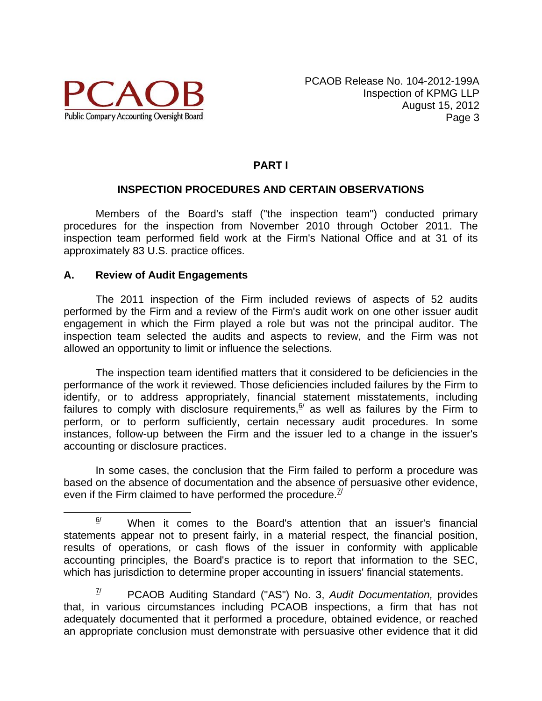

# **PART I**

#### **INSPECTION PROCEDURES AND CERTAIN OBSERVATIONS**

Members of the Board's staff ("the inspection team") conducted primary procedures for the inspection from November 2010 through October 2011. The inspection team performed field work at the Firm's National Office and at 31 of its approximately 83 U.S. practice offices.

#### **A. Review of Audit Engagements**

The 2011 inspection of the Firm included reviews of aspects of 52 audits performed by the Firm and a review of the Firm's audit work on one other issuer audit engagement in which the Firm played a role but was not the principal auditor. The inspection team selected the audits and aspects to review, and the Firm was not allowed an opportunity to limit or influence the selections.

The inspection team identified matters that it considered to be deficiencies in the performance of the work it reviewed. Those deficiencies included failures by the Firm to identify, or to address appropriately, financial statement misstatements, including failures to comply with disclosure requirements, $6/$  as well as failures by the Firm to perform, or to perform sufficiently, certain necessary audit procedures. In some instances, follow-up between the Firm and the issuer led to a change in the issuer's accounting or disclosure practices.

In some cases, the conclusion that the Firm failed to perform a procedure was based on the absence of documentation and the absence of persuasive other evidence, even if the Firm claimed to have performed the procedure.  $\frac{1}{2}$ 

7/ PCAOB Auditing Standard ("AS") No. 3, *Audit Documentation,* provides that, in various circumstances including PCAOB inspections, a firm that has not adequately documented that it performed a procedure, obtained evidence, or reached an appropriate conclusion must demonstrate with persuasive other evidence that it did

 $\frac{6}{1}$  When it comes to the Board's attention that an issuer's financial statements appear not to present fairly, in a material respect, the financial position, results of operations, or cash flows of the issuer in conformity with applicable accounting principles, the Board's practice is to report that information to the SEC, which has jurisdiction to determine proper accounting in issuers' financial statements.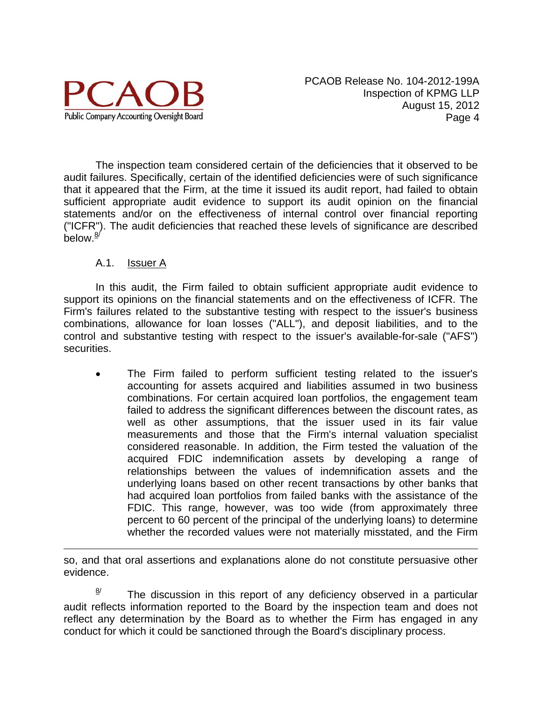

The inspection team considered certain of the deficiencies that it observed to be audit failures. Specifically, certain of the identified deficiencies were of such significance that it appeared that the Firm, at the time it issued its audit report, had failed to obtain sufficient appropriate audit evidence to support its audit opinion on the financial statements and/or on the effectiveness of internal control over financial reporting ("ICFR"). The audit deficiencies that reached these levels of significance are described below. $\frac{8}{2}$ 

# A.1. Issuer A

 $\overline{a}$ 

 In this audit, the Firm failed to obtain sufficient appropriate audit evidence to support its opinions on the financial statements and on the effectiveness of ICFR. The Firm's failures related to the substantive testing with respect to the issuer's business combinations, allowance for loan losses ("ALL"), and deposit liabilities, and to the control and substantive testing with respect to the issuer's available-for-sale ("AFS") securities.

 The Firm failed to perform sufficient testing related to the issuer's accounting for assets acquired and liabilities assumed in two business combinations. For certain acquired loan portfolios, the engagement team failed to address the significant differences between the discount rates, as well as other assumptions, that the issuer used in its fair value measurements and those that the Firm's internal valuation specialist considered reasonable. In addition, the Firm tested the valuation of the acquired FDIC indemnification assets by developing a range of relationships between the values of indemnification assets and the underlying loans based on other recent transactions by other banks that had acquired loan portfolios from failed banks with the assistance of the FDIC. This range, however, was too wide (from approximately three percent to 60 percent of the principal of the underlying loans) to determine whether the recorded values were not materially misstated, and the Firm

so, and that oral assertions and explanations alone do not constitute persuasive other evidence.

 $\frac{8}{1}$  The discussion in this report of any deficiency observed in a particular audit reflects information reported to the Board by the inspection team and does not reflect any determination by the Board as to whether the Firm has engaged in any conduct for which it could be sanctioned through the Board's disciplinary process.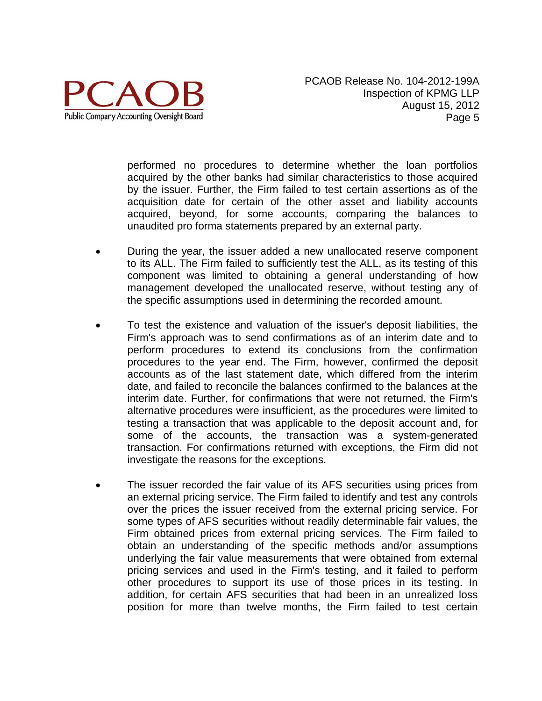

performed no procedures to determine whether the loan portfolios acquired by the other banks had similar characteristics to those acquired by the issuer. Further, the Firm failed to test certain assertions as of the acquisition date for certain of the other asset and liability accounts acquired, beyond, for some accounts, comparing the balances to unaudited pro forma statements prepared by an external party.

- During the year, the issuer added a new unallocated reserve component to its ALL. The Firm failed to sufficiently test the ALL, as its testing of this component was limited to obtaining a general understanding of how management developed the unallocated reserve, without testing any of the specific assumptions used in determining the recorded amount.
- To test the existence and valuation of the issuer's deposit liabilities, the Firm's approach was to send confirmations as of an interim date and to perform procedures to extend its conclusions from the confirmation procedures to the year end. The Firm, however, confirmed the deposit accounts as of the last statement date, which differed from the interim date, and failed to reconcile the balances confirmed to the balances at the interim date. Further, for confirmations that were not returned, the Firm's alternative procedures were insufficient, as the procedures were limited to testing a transaction that was applicable to the deposit account and, for some of the accounts, the transaction was a system-generated transaction. For confirmations returned with exceptions, the Firm did not investigate the reasons for the exceptions.
- The issuer recorded the fair value of its AFS securities using prices from an external pricing service. The Firm failed to identify and test any controls over the prices the issuer received from the external pricing service. For some types of AFS securities without readily determinable fair values, the Firm obtained prices from external pricing services. The Firm failed to obtain an understanding of the specific methods and/or assumptions underlying the fair value measurements that were obtained from external pricing services and used in the Firm's testing, and it failed to perform other procedures to support its use of those prices in its testing. In addition, for certain AFS securities that had been in an unrealized loss position for more than twelve months, the Firm failed to test certain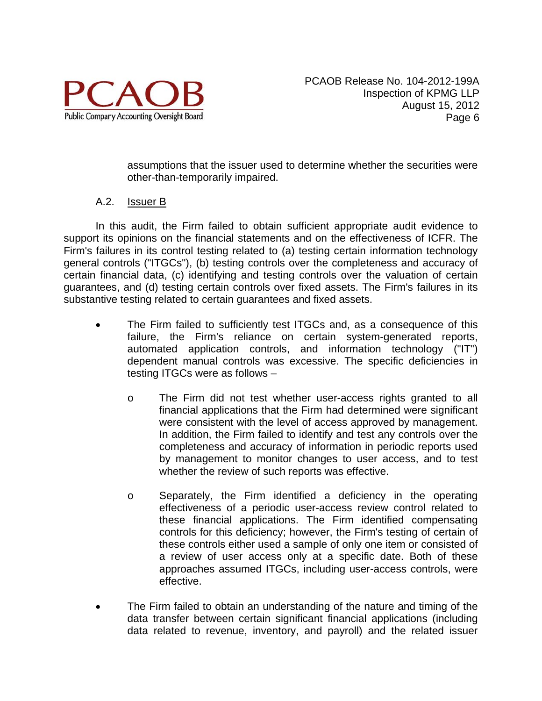

assumptions that the issuer used to determine whether the securities were other-than-temporarily impaired.

# A.2. Issuer B

In this audit, the Firm failed to obtain sufficient appropriate audit evidence to support its opinions on the financial statements and on the effectiveness of ICFR. The Firm's failures in its control testing related to (a) testing certain information technology general controls ("ITGCs"), (b) testing controls over the completeness and accuracy of certain financial data, (c) identifying and testing controls over the valuation of certain guarantees, and (d) testing certain controls over fixed assets. The Firm's failures in its substantive testing related to certain guarantees and fixed assets.

- The Firm failed to sufficiently test ITGCs and, as a consequence of this failure, the Firm's reliance on certain system-generated reports, automated application controls, and information technology ("IT") dependent manual controls was excessive. The specific deficiencies in testing ITGCs were as follows –
	- o The Firm did not test whether user-access rights granted to all financial applications that the Firm had determined were significant were consistent with the level of access approved by management. In addition, the Firm failed to identify and test any controls over the completeness and accuracy of information in periodic reports used by management to monitor changes to user access, and to test whether the review of such reports was effective.
	- o Separately, the Firm identified a deficiency in the operating effectiveness of a periodic user-access review control related to these financial applications. The Firm identified compensating controls for this deficiency; however, the Firm's testing of certain of these controls either used a sample of only one item or consisted of a review of user access only at a specific date. Both of these approaches assumed ITGCs, including user-access controls, were effective.
- The Firm failed to obtain an understanding of the nature and timing of the data transfer between certain significant financial applications (including data related to revenue, inventory, and payroll) and the related issuer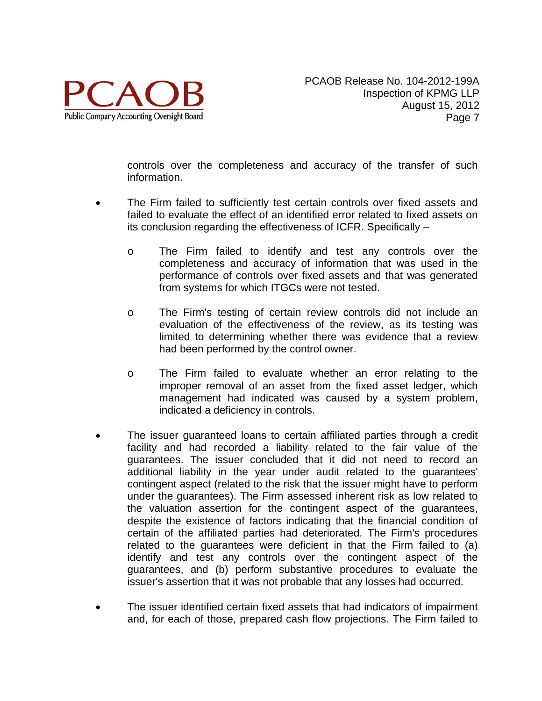

controls over the completeness and accuracy of the transfer of such information.

- The Firm failed to sufficiently test certain controls over fixed assets and failed to evaluate the effect of an identified error related to fixed assets on its conclusion regarding the effectiveness of ICFR. Specifically –
	- o The Firm failed to identify and test any controls over the completeness and accuracy of information that was used in the performance of controls over fixed assets and that was generated from systems for which ITGCs were not tested.
	- o The Firm's testing of certain review controls did not include an evaluation of the effectiveness of the review, as its testing was limited to determining whether there was evidence that a review had been performed by the control owner.
	- o The Firm failed to evaluate whether an error relating to the improper removal of an asset from the fixed asset ledger, which management had indicated was caused by a system problem, indicated a deficiency in controls.
- The issuer guaranteed loans to certain affiliated parties through a credit facility and had recorded a liability related to the fair value of the guarantees. The issuer concluded that it did not need to record an additional liability in the year under audit related to the guarantees' contingent aspect (related to the risk that the issuer might have to perform under the guarantees). The Firm assessed inherent risk as low related to the valuation assertion for the contingent aspect of the guarantees, despite the existence of factors indicating that the financial condition of certain of the affiliated parties had deteriorated. The Firm's procedures related to the guarantees were deficient in that the Firm failed to (a) identify and test any controls over the contingent aspect of the guarantees, and (b) perform substantive procedures to evaluate the issuer's assertion that it was not probable that any losses had occurred.
- The issuer identified certain fixed assets that had indicators of impairment and, for each of those, prepared cash flow projections. The Firm failed to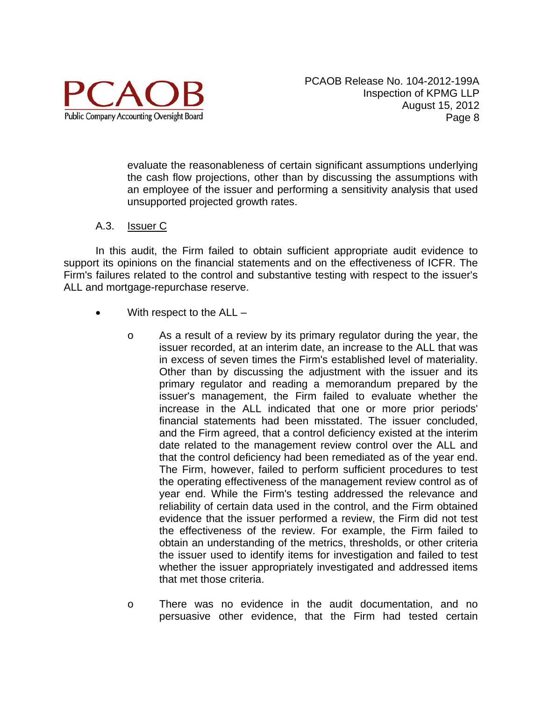

evaluate the reasonableness of certain significant assumptions underlying the cash flow projections, other than by discussing the assumptions with an employee of the issuer and performing a sensitivity analysis that used unsupported projected growth rates.

#### A.3. Issuer C

In this audit, the Firm failed to obtain sufficient appropriate audit evidence to support its opinions on the financial statements and on the effectiveness of ICFR. The Firm's failures related to the control and substantive testing with respect to the issuer's ALL and mortgage-repurchase reserve.

- With respect to the ALL
	- o As a result of a review by its primary regulator during the year, the issuer recorded, at an interim date, an increase to the ALL that was in excess of seven times the Firm's established level of materiality. Other than by discussing the adjustment with the issuer and its primary regulator and reading a memorandum prepared by the issuer's management, the Firm failed to evaluate whether the increase in the ALL indicated that one or more prior periods' financial statements had been misstated. The issuer concluded, and the Firm agreed, that a control deficiency existed at the interim date related to the management review control over the ALL and that the control deficiency had been remediated as of the year end. The Firm, however, failed to perform sufficient procedures to test the operating effectiveness of the management review control as of year end. While the Firm's testing addressed the relevance and reliability of certain data used in the control, and the Firm obtained evidence that the issuer performed a review, the Firm did not test the effectiveness of the review. For example, the Firm failed to obtain an understanding of the metrics, thresholds, or other criteria the issuer used to identify items for investigation and failed to test whether the issuer appropriately investigated and addressed items that met those criteria.
	- o There was no evidence in the audit documentation, and no persuasive other evidence, that the Firm had tested certain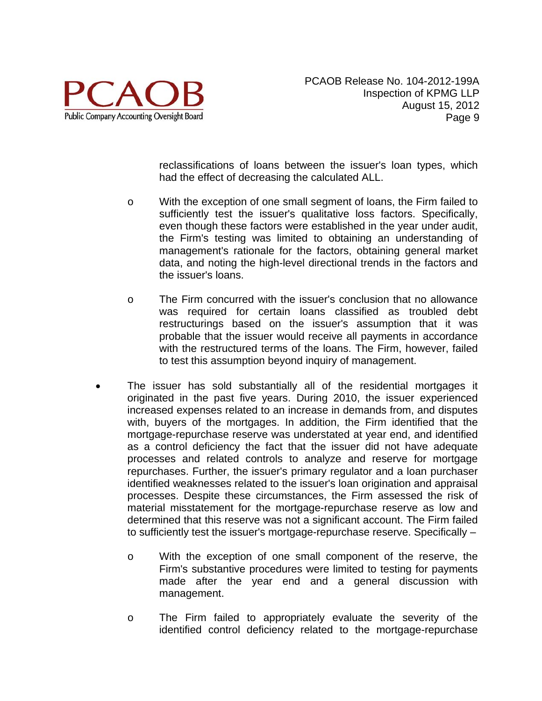

reclassifications of loans between the issuer's loan types, which had the effect of decreasing the calculated ALL.

- o With the exception of one small segment of loans, the Firm failed to sufficiently test the issuer's qualitative loss factors. Specifically, even though these factors were established in the year under audit, the Firm's testing was limited to obtaining an understanding of management's rationale for the factors, obtaining general market data, and noting the high-level directional trends in the factors and the issuer's loans.
- o The Firm concurred with the issuer's conclusion that no allowance was required for certain loans classified as troubled debt restructurings based on the issuer's assumption that it was probable that the issuer would receive all payments in accordance with the restructured terms of the loans. The Firm, however, failed to test this assumption beyond inquiry of management.
- The issuer has sold substantially all of the residential mortgages it originated in the past five years. During 2010, the issuer experienced increased expenses related to an increase in demands from, and disputes with, buyers of the mortgages. In addition, the Firm identified that the mortgage-repurchase reserve was understated at year end, and identified as a control deficiency the fact that the issuer did not have adequate processes and related controls to analyze and reserve for mortgage repurchases. Further, the issuer's primary regulator and a loan purchaser identified weaknesses related to the issuer's loan origination and appraisal processes. Despite these circumstances, the Firm assessed the risk of material misstatement for the mortgage-repurchase reserve as low and determined that this reserve was not a significant account. The Firm failed to sufficiently test the issuer's mortgage-repurchase reserve. Specifically –
	- o With the exception of one small component of the reserve, the Firm's substantive procedures were limited to testing for payments made after the year end and a general discussion with management.
	- o The Firm failed to appropriately evaluate the severity of the identified control deficiency related to the mortgage-repurchase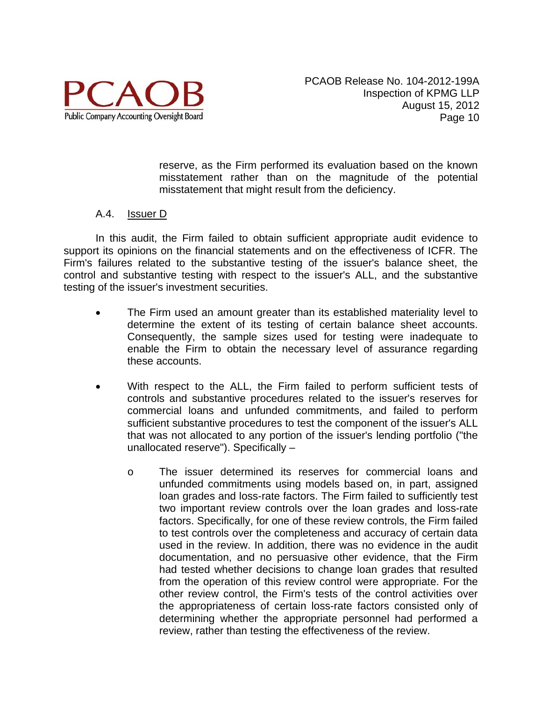

reserve, as the Firm performed its evaluation based on the known misstatement rather than on the magnitude of the potential misstatement that might result from the deficiency.

#### A.4. Issuer D

In this audit, the Firm failed to obtain sufficient appropriate audit evidence to support its opinions on the financial statements and on the effectiveness of ICFR. The Firm's failures related to the substantive testing of the issuer's balance sheet, the control and substantive testing with respect to the issuer's ALL, and the substantive testing of the issuer's investment securities.

- The Firm used an amount greater than its established materiality level to determine the extent of its testing of certain balance sheet accounts. Consequently, the sample sizes used for testing were inadequate to enable the Firm to obtain the necessary level of assurance regarding these accounts.
- With respect to the ALL, the Firm failed to perform sufficient tests of controls and substantive procedures related to the issuer's reserves for commercial loans and unfunded commitments, and failed to perform sufficient substantive procedures to test the component of the issuer's ALL that was not allocated to any portion of the issuer's lending portfolio ("the unallocated reserve"). Specifically –
	- o The issuer determined its reserves for commercial loans and unfunded commitments using models based on, in part, assigned loan grades and loss-rate factors. The Firm failed to sufficiently test two important review controls over the loan grades and loss-rate factors. Specifically, for one of these review controls, the Firm failed to test controls over the completeness and accuracy of certain data used in the review. In addition, there was no evidence in the audit documentation, and no persuasive other evidence, that the Firm had tested whether decisions to change loan grades that resulted from the operation of this review control were appropriate. For the other review control, the Firm's tests of the control activities over the appropriateness of certain loss-rate factors consisted only of determining whether the appropriate personnel had performed a review, rather than testing the effectiveness of the review.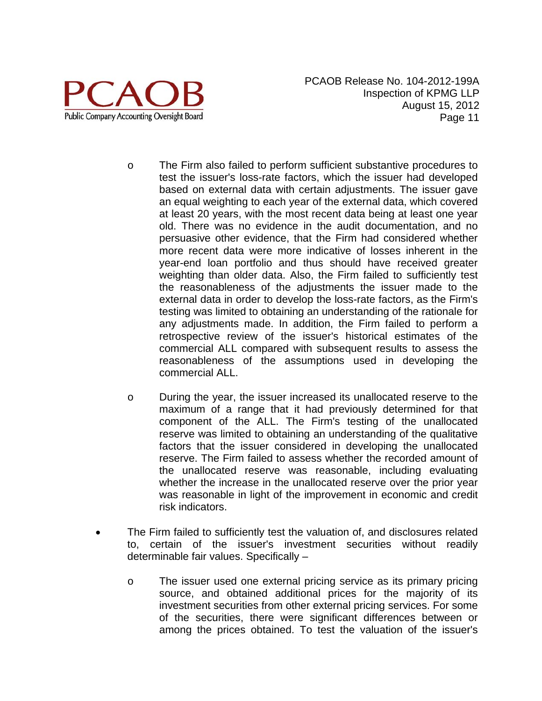

- o The Firm also failed to perform sufficient substantive procedures to test the issuer's loss-rate factors, which the issuer had developed based on external data with certain adjustments. The issuer gave an equal weighting to each year of the external data, which covered at least 20 years, with the most recent data being at least one year old. There was no evidence in the audit documentation, and no persuasive other evidence, that the Firm had considered whether more recent data were more indicative of losses inherent in the year-end loan portfolio and thus should have received greater weighting than older data. Also, the Firm failed to sufficiently test the reasonableness of the adjustments the issuer made to the external data in order to develop the loss-rate factors, as the Firm's testing was limited to obtaining an understanding of the rationale for any adjustments made. In addition, the Firm failed to perform a retrospective review of the issuer's historical estimates of the commercial ALL compared with subsequent results to assess the reasonableness of the assumptions used in developing the commercial ALL.
- o During the year, the issuer increased its unallocated reserve to the maximum of a range that it had previously determined for that component of the ALL. The Firm's testing of the unallocated reserve was limited to obtaining an understanding of the qualitative factors that the issuer considered in developing the unallocated reserve. The Firm failed to assess whether the recorded amount of the unallocated reserve was reasonable, including evaluating whether the increase in the unallocated reserve over the prior year was reasonable in light of the improvement in economic and credit risk indicators.
- The Firm failed to sufficiently test the valuation of, and disclosures related to, certain of the issuer's investment securities without readily determinable fair values. Specifically –
	- o The issuer used one external pricing service as its primary pricing source, and obtained additional prices for the majority of its investment securities from other external pricing services. For some of the securities, there were significant differences between or among the prices obtained. To test the valuation of the issuer's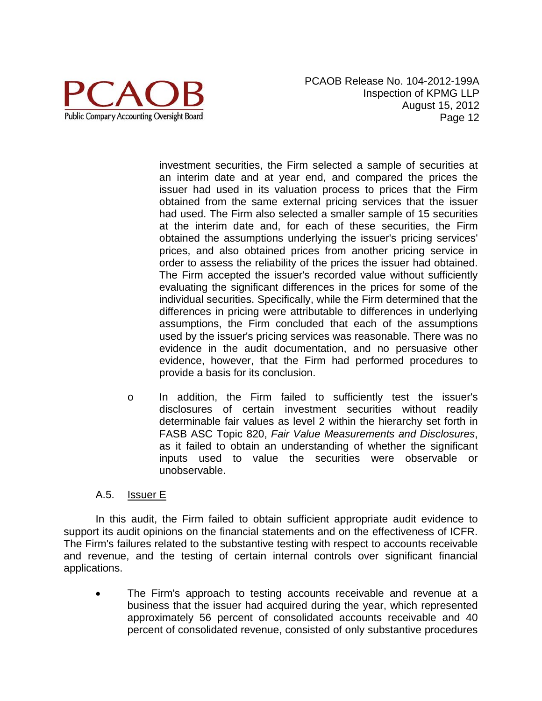

investment securities, the Firm selected a sample of securities at an interim date and at year end, and compared the prices the issuer had used in its valuation process to prices that the Firm obtained from the same external pricing services that the issuer had used. The Firm also selected a smaller sample of 15 securities at the interim date and, for each of these securities, the Firm obtained the assumptions underlying the issuer's pricing services' prices, and also obtained prices from another pricing service in order to assess the reliability of the prices the issuer had obtained. The Firm accepted the issuer's recorded value without sufficiently evaluating the significant differences in the prices for some of the individual securities. Specifically, while the Firm determined that the differences in pricing were attributable to differences in underlying assumptions, the Firm concluded that each of the assumptions used by the issuer's pricing services was reasonable. There was no evidence in the audit documentation, and no persuasive other evidence, however, that the Firm had performed procedures to provide a basis for its conclusion.

o In addition, the Firm failed to sufficiently test the issuer's disclosures of certain investment securities without readily determinable fair values as level 2 within the hierarchy set forth in FASB ASC Topic 820, *Fair Value Measurements and Disclosures*, as it failed to obtain an understanding of whether the significant inputs used to value the securities were observable or unobservable.

#### A.5. Issuer E

In this audit, the Firm failed to obtain sufficient appropriate audit evidence to support its audit opinions on the financial statements and on the effectiveness of ICFR. The Firm's failures related to the substantive testing with respect to accounts receivable and revenue, and the testing of certain internal controls over significant financial applications.

 The Firm's approach to testing accounts receivable and revenue at a business that the issuer had acquired during the year, which represented approximately 56 percent of consolidated accounts receivable and 40 percent of consolidated revenue, consisted of only substantive procedures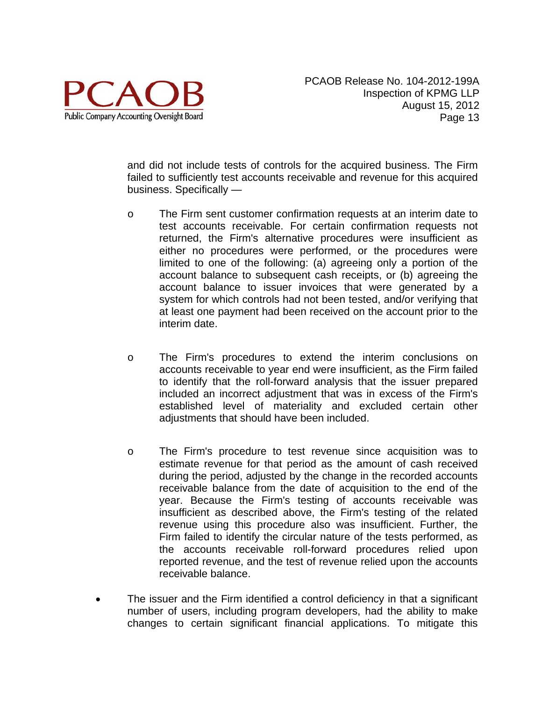

and did not include tests of controls for the acquired business. The Firm failed to sufficiently test accounts receivable and revenue for this acquired business. Specifically —

- o The Firm sent customer confirmation requests at an interim date to test accounts receivable. For certain confirmation requests not returned, the Firm's alternative procedures were insufficient as either no procedures were performed, or the procedures were limited to one of the following: (a) agreeing only a portion of the account balance to subsequent cash receipts, or (b) agreeing the account balance to issuer invoices that were generated by a system for which controls had not been tested, and/or verifying that at least one payment had been received on the account prior to the interim date.
- o The Firm's procedures to extend the interim conclusions on accounts receivable to year end were insufficient, as the Firm failed to identify that the roll-forward analysis that the issuer prepared included an incorrect adjustment that was in excess of the Firm's established level of materiality and excluded certain other adjustments that should have been included.
- o The Firm's procedure to test revenue since acquisition was to estimate revenue for that period as the amount of cash received during the period, adjusted by the change in the recorded accounts receivable balance from the date of acquisition to the end of the year. Because the Firm's testing of accounts receivable was insufficient as described above, the Firm's testing of the related revenue using this procedure also was insufficient. Further, the Firm failed to identify the circular nature of the tests performed, as the accounts receivable roll-forward procedures relied upon reported revenue, and the test of revenue relied upon the accounts receivable balance.
- The issuer and the Firm identified a control deficiency in that a significant number of users, including program developers, had the ability to make changes to certain significant financial applications. To mitigate this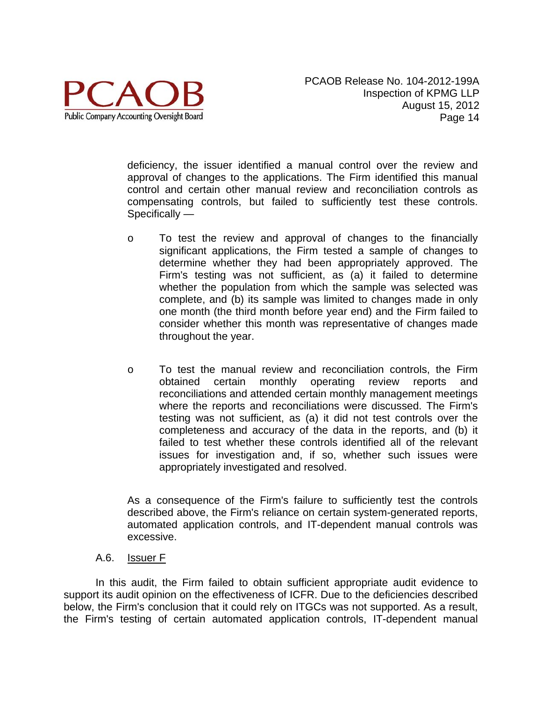

deficiency, the issuer identified a manual control over the review and approval of changes to the applications. The Firm identified this manual control and certain other manual review and reconciliation controls as compensating controls, but failed to sufficiently test these controls. Specifically —

- o To test the review and approval of changes to the financially significant applications, the Firm tested a sample of changes to determine whether they had been appropriately approved. The Firm's testing was not sufficient, as (a) it failed to determine whether the population from which the sample was selected was complete, and (b) its sample was limited to changes made in only one month (the third month before year end) and the Firm failed to consider whether this month was representative of changes made throughout the year.
- o To test the manual review and reconciliation controls, the Firm obtained certain monthly operating review reports and reconciliations and attended certain monthly management meetings where the reports and reconciliations were discussed. The Firm's testing was not sufficient, as (a) it did not test controls over the completeness and accuracy of the data in the reports, and (b) it failed to test whether these controls identified all of the relevant issues for investigation and, if so, whether such issues were appropriately investigated and resolved.

As a consequence of the Firm's failure to sufficiently test the controls described above, the Firm's reliance on certain system-generated reports, automated application controls, and IT-dependent manual controls was excessive.

#### A.6. Issuer F

In this audit, the Firm failed to obtain sufficient appropriate audit evidence to support its audit opinion on the effectiveness of ICFR. Due to the deficiencies described below, the Firm's conclusion that it could rely on ITGCs was not supported. As a result, the Firm's testing of certain automated application controls, IT-dependent manual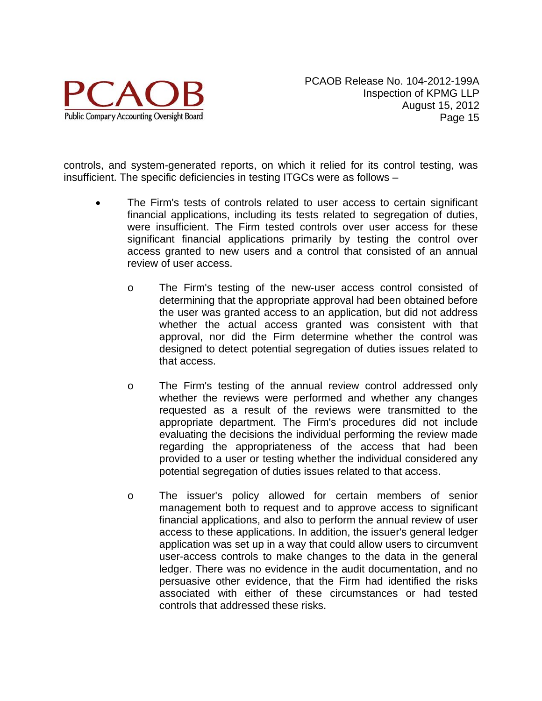

controls, and system-generated reports, on which it relied for its control testing, was insufficient. The specific deficiencies in testing ITGCs were as follows –

- The Firm's tests of controls related to user access to certain significant financial applications, including its tests related to segregation of duties, were insufficient. The Firm tested controls over user access for these significant financial applications primarily by testing the control over access granted to new users and a control that consisted of an annual review of user access.
	- o The Firm's testing of the new-user access control consisted of determining that the appropriate approval had been obtained before the user was granted access to an application, but did not address whether the actual access granted was consistent with that approval, nor did the Firm determine whether the control was designed to detect potential segregation of duties issues related to that access.
	- o The Firm's testing of the annual review control addressed only whether the reviews were performed and whether any changes requested as a result of the reviews were transmitted to the appropriate department. The Firm's procedures did not include evaluating the decisions the individual performing the review made regarding the appropriateness of the access that had been provided to a user or testing whether the individual considered any potential segregation of duties issues related to that access.
	- o The issuer's policy allowed for certain members of senior management both to request and to approve access to significant financial applications, and also to perform the annual review of user access to these applications. In addition, the issuer's general ledger application was set up in a way that could allow users to circumvent user-access controls to make changes to the data in the general ledger. There was no evidence in the audit documentation, and no persuasive other evidence, that the Firm had identified the risks associated with either of these circumstances or had tested controls that addressed these risks.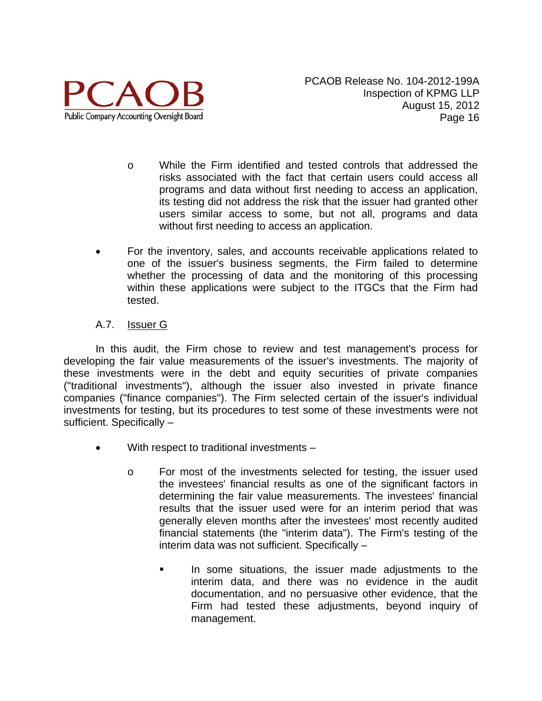

- o While the Firm identified and tested controls that addressed the risks associated with the fact that certain users could access all programs and data without first needing to access an application, its testing did not address the risk that the issuer had granted other users similar access to some, but not all, programs and data without first needing to access an application.
- For the inventory, sales, and accounts receivable applications related to one of the issuer's business segments, the Firm failed to determine whether the processing of data and the monitoring of this processing within these applications were subject to the ITGCs that the Firm had tested.

# A.7. Issuer G

In this audit, the Firm chose to review and test management's process for developing the fair value measurements of the issuer's investments. The majority of these investments were in the debt and equity securities of private companies ("traditional investments"), although the issuer also invested in private finance companies ("finance companies"). The Firm selected certain of the issuer's individual investments for testing, but its procedures to test some of these investments were not sufficient. Specifically –

- With respect to traditional investments
	- o For most of the investments selected for testing, the issuer used the investees' financial results as one of the significant factors in determining the fair value measurements. The investees' financial results that the issuer used were for an interim period that was generally eleven months after the investees' most recently audited financial statements (the "interim data"). The Firm's testing of the interim data was not sufficient. Specifically –
		- In some situations, the issuer made adjustments to the interim data, and there was no evidence in the audit documentation, and no persuasive other evidence, that the Firm had tested these adjustments, beyond inquiry of management.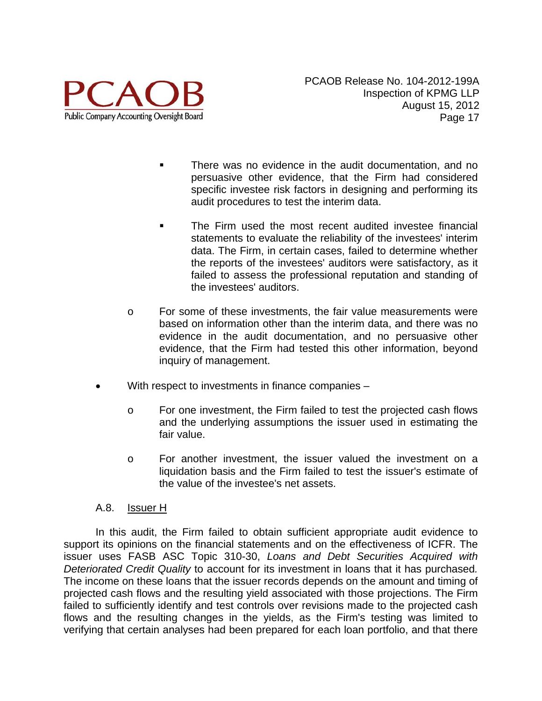

- There was no evidence in the audit documentation, and no persuasive other evidence, that the Firm had considered specific investee risk factors in designing and performing its audit procedures to test the interim data.
- The Firm used the most recent audited investee financial statements to evaluate the reliability of the investees' interim data. The Firm, in certain cases, failed to determine whether the reports of the investees' auditors were satisfactory, as it failed to assess the professional reputation and standing of the investees' auditors.
- o For some of these investments, the fair value measurements were based on information other than the interim data, and there was no evidence in the audit documentation, and no persuasive other evidence, that the Firm had tested this other information, beyond inquiry of management.
- With respect to investments in finance companies
	- o For one investment, the Firm failed to test the projected cash flows and the underlying assumptions the issuer used in estimating the fair value.
	- o For another investment, the issuer valued the investment on a liquidation basis and the Firm failed to test the issuer's estimate of the value of the investee's net assets.

#### A.8. Issuer H

In this audit, the Firm failed to obtain sufficient appropriate audit evidence to support its opinions on the financial statements and on the effectiveness of ICFR. The issuer uses FASB ASC Topic 310-30, *Loans and Debt Securities Acquired with Deteriorated Credit Quality* to account for its investment in loans that it has purchased*.*  The income on these loans that the issuer records depends on the amount and timing of projected cash flows and the resulting yield associated with those projections. The Firm failed to sufficiently identify and test controls over revisions made to the projected cash flows and the resulting changes in the yields, as the Firm's testing was limited to verifying that certain analyses had been prepared for each loan portfolio, and that there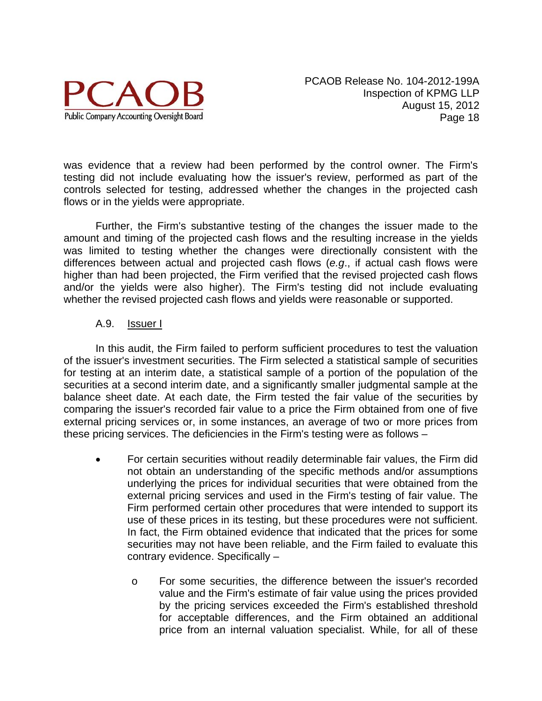

was evidence that a review had been performed by the control owner. The Firm's testing did not include evaluating how the issuer's review, performed as part of the controls selected for testing, addressed whether the changes in the projected cash flows or in the yields were appropriate.

Further, the Firm's substantive testing of the changes the issuer made to the amount and timing of the projected cash flows and the resulting increase in the yields was limited to testing whether the changes were directionally consistent with the differences between actual and projected cash flows (*e.g*., if actual cash flows were higher than had been projected, the Firm verified that the revised projected cash flows and/or the yields were also higher). The Firm's testing did not include evaluating whether the revised projected cash flows and yields were reasonable or supported.

# A.9. Issuer I

In this audit, the Firm failed to perform sufficient procedures to test the valuation of the issuer's investment securities. The Firm selected a statistical sample of securities for testing at an interim date, a statistical sample of a portion of the population of the securities at a second interim date, and a significantly smaller judgmental sample at the balance sheet date. At each date, the Firm tested the fair value of the securities by comparing the issuer's recorded fair value to a price the Firm obtained from one of five external pricing services or, in some instances, an average of two or more prices from these pricing services. The deficiencies in the Firm's testing were as follows –

- For certain securities without readily determinable fair values, the Firm did not obtain an understanding of the specific methods and/or assumptions underlying the prices for individual securities that were obtained from the external pricing services and used in the Firm's testing of fair value. The Firm performed certain other procedures that were intended to support its use of these prices in its testing, but these procedures were not sufficient. In fact, the Firm obtained evidence that indicated that the prices for some securities may not have been reliable, and the Firm failed to evaluate this contrary evidence. Specifically –
	- o For some securities, the difference between the issuer's recorded value and the Firm's estimate of fair value using the prices provided by the pricing services exceeded the Firm's established threshold for acceptable differences, and the Firm obtained an additional price from an internal valuation specialist. While, for all of these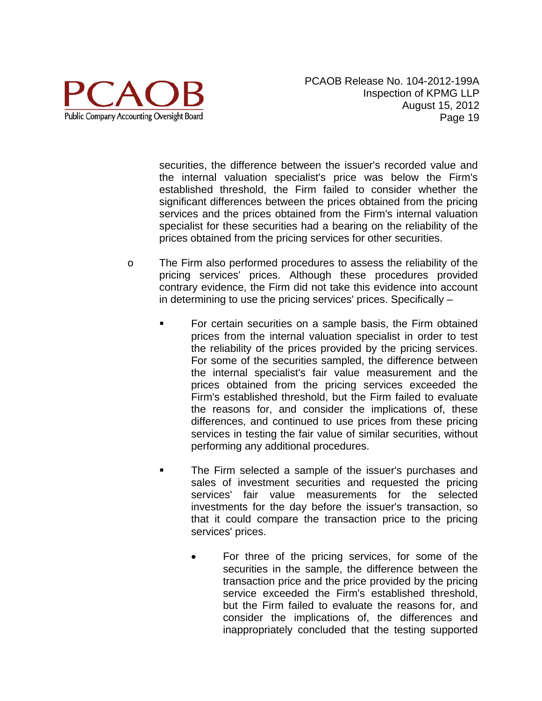

securities, the difference between the issuer's recorded value and the internal valuation specialist's price was below the Firm's established threshold, the Firm failed to consider whether the significant differences between the prices obtained from the pricing services and the prices obtained from the Firm's internal valuation specialist for these securities had a bearing on the reliability of the prices obtained from the pricing services for other securities.

- o The Firm also performed procedures to assess the reliability of the pricing services' prices. Although these procedures provided contrary evidence, the Firm did not take this evidence into account in determining to use the pricing services' prices. Specifically –
	- For certain securities on a sample basis, the Firm obtained prices from the internal valuation specialist in order to test the reliability of the prices provided by the pricing services. For some of the securities sampled, the difference between the internal specialist's fair value measurement and the prices obtained from the pricing services exceeded the Firm's established threshold, but the Firm failed to evaluate the reasons for, and consider the implications of, these differences, and continued to use prices from these pricing services in testing the fair value of similar securities, without performing any additional procedures.
	- The Firm selected a sample of the issuer's purchases and sales of investment securities and requested the pricing services' fair value measurements for the selected investments for the day before the issuer's transaction, so that it could compare the transaction price to the pricing services' prices.
		- For three of the pricing services, for some of the securities in the sample, the difference between the transaction price and the price provided by the pricing service exceeded the Firm's established threshold, but the Firm failed to evaluate the reasons for, and consider the implications of, the differences and inappropriately concluded that the testing supported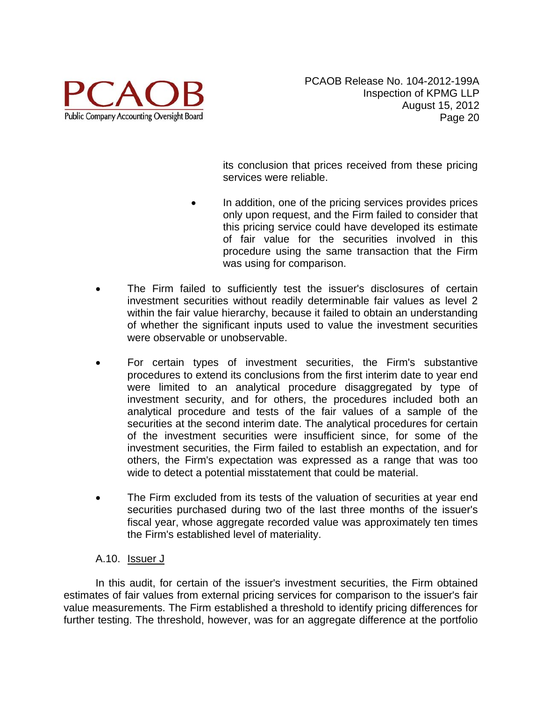

its conclusion that prices received from these pricing services were reliable.

- In addition, one of the pricing services provides prices only upon request, and the Firm failed to consider that this pricing service could have developed its estimate of fair value for the securities involved in this procedure using the same transaction that the Firm was using for comparison.
- The Firm failed to sufficiently test the issuer's disclosures of certain investment securities without readily determinable fair values as level 2 within the fair value hierarchy, because it failed to obtain an understanding of whether the significant inputs used to value the investment securities were observable or unobservable.
- For certain types of investment securities, the Firm's substantive procedures to extend its conclusions from the first interim date to year end were limited to an analytical procedure disaggregated by type of investment security, and for others, the procedures included both an analytical procedure and tests of the fair values of a sample of the securities at the second interim date. The analytical procedures for certain of the investment securities were insufficient since, for some of the investment securities, the Firm failed to establish an expectation, and for others, the Firm's expectation was expressed as a range that was too wide to detect a potential misstatement that could be material.
- The Firm excluded from its tests of the valuation of securities at year end securities purchased during two of the last three months of the issuer's fiscal year, whose aggregate recorded value was approximately ten times the Firm's established level of materiality.

# A.10. Issuer J

In this audit, for certain of the issuer's investment securities, the Firm obtained estimates of fair values from external pricing services for comparison to the issuer's fair value measurements. The Firm established a threshold to identify pricing differences for further testing. The threshold, however, was for an aggregate difference at the portfolio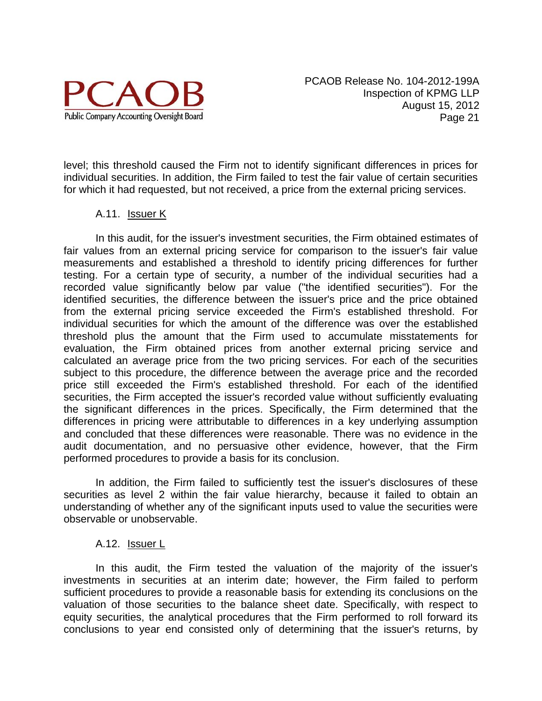

level; this threshold caused the Firm not to identify significant differences in prices for individual securities. In addition, the Firm failed to test the fair value of certain securities for which it had requested, but not received, a price from the external pricing services.

#### A.11. **Issuer K**

In this audit, for the issuer's investment securities, the Firm obtained estimates of fair values from an external pricing service for comparison to the issuer's fair value measurements and established a threshold to identify pricing differences for further testing. For a certain type of security, a number of the individual securities had a recorded value significantly below par value ("the identified securities"). For the identified securities, the difference between the issuer's price and the price obtained from the external pricing service exceeded the Firm's established threshold. For individual securities for which the amount of the difference was over the established threshold plus the amount that the Firm used to accumulate misstatements for evaluation, the Firm obtained prices from another external pricing service and calculated an average price from the two pricing services. For each of the securities subject to this procedure, the difference between the average price and the recorded price still exceeded the Firm's established threshold. For each of the identified securities, the Firm accepted the issuer's recorded value without sufficiently evaluating the significant differences in the prices. Specifically, the Firm determined that the differences in pricing were attributable to differences in a key underlying assumption and concluded that these differences were reasonable. There was no evidence in the audit documentation, and no persuasive other evidence, however, that the Firm performed procedures to provide a basis for its conclusion.

In addition, the Firm failed to sufficiently test the issuer's disclosures of these securities as level 2 within the fair value hierarchy, because it failed to obtain an understanding of whether any of the significant inputs used to value the securities were observable or unobservable.

#### A.12. <u>Issuer L</u>

In this audit, the Firm tested the valuation of the majority of the issuer's investments in securities at an interim date; however, the Firm failed to perform sufficient procedures to provide a reasonable basis for extending its conclusions on the valuation of those securities to the balance sheet date. Specifically, with respect to equity securities, the analytical procedures that the Firm performed to roll forward its conclusions to year end consisted only of determining that the issuer's returns, by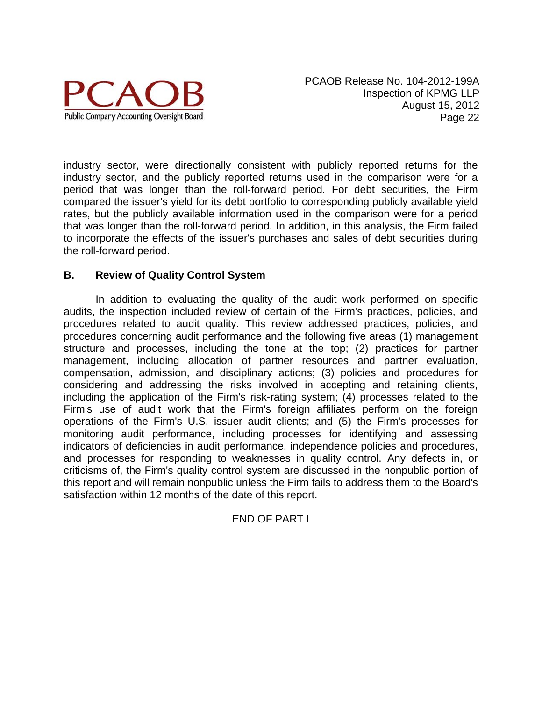

industry sector, were directionally consistent with publicly reported returns for the industry sector, and the publicly reported returns used in the comparison were for a period that was longer than the roll-forward period. For debt securities, the Firm compared the issuer's yield for its debt portfolio to corresponding publicly available yield rates, but the publicly available information used in the comparison were for a period that was longer than the roll-forward period. In addition, in this analysis, the Firm failed to incorporate the effects of the issuer's purchases and sales of debt securities during the roll-forward period.

#### **B. Review of Quality Control System**

In addition to evaluating the quality of the audit work performed on specific audits, the inspection included review of certain of the Firm's practices, policies, and procedures related to audit quality. This review addressed practices, policies, and procedures concerning audit performance and the following five areas (1) management structure and processes, including the tone at the top; (2) practices for partner management, including allocation of partner resources and partner evaluation, compensation, admission, and disciplinary actions; (3) policies and procedures for considering and addressing the risks involved in accepting and retaining clients, including the application of the Firm's risk-rating system; (4) processes related to the Firm's use of audit work that the Firm's foreign affiliates perform on the foreign operations of the Firm's U.S. issuer audit clients; and (5) the Firm's processes for monitoring audit performance, including processes for identifying and assessing indicators of deficiencies in audit performance, independence policies and procedures, and processes for responding to weaknesses in quality control. Any defects in, or criticisms of, the Firm's quality control system are discussed in the nonpublic portion of this report and will remain nonpublic unless the Firm fails to address them to the Board's satisfaction within 12 months of the date of this report.

#### END OF PART I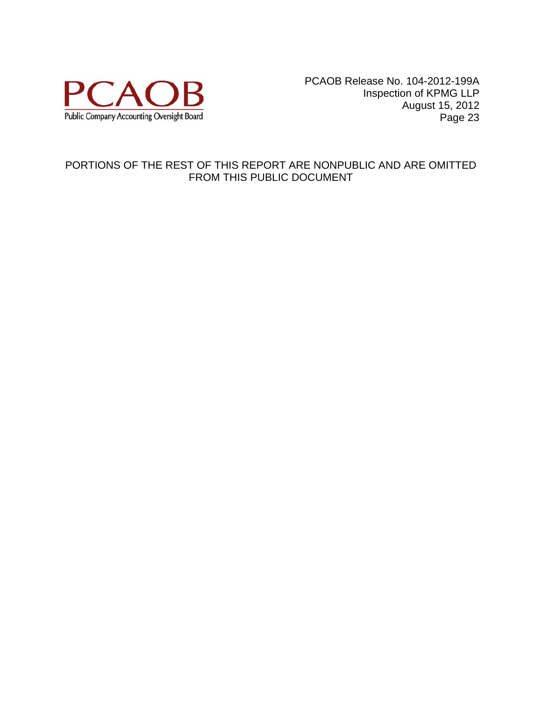

# PORTIONS OF THE REST OF THIS REPORT ARE NONPUBLIC AND ARE OMITTED FROM THIS PUBLIC DOCUMENT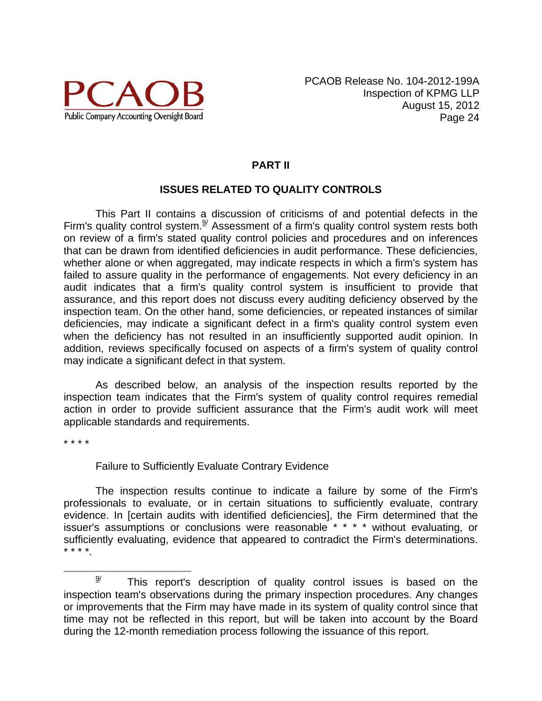

# **PART II**

# **ISSUES RELATED TO QUALITY CONTROLS**

This Part II contains a discussion of criticisms of and potential defects in the Firm's quality control system. $\frac{9}{2}$  Assessment of a firm's quality control system rests both on review of a firm's stated quality control policies and procedures and on inferences that can be drawn from identified deficiencies in audit performance. These deficiencies, whether alone or when aggregated, may indicate respects in which a firm's system has failed to assure quality in the performance of engagements. Not every deficiency in an audit indicates that a firm's quality control system is insufficient to provide that assurance, and this report does not discuss every auditing deficiency observed by the inspection team. On the other hand, some deficiencies, or repeated instances of similar deficiencies, may indicate a significant defect in a firm's quality control system even when the deficiency has not resulted in an insufficiently supported audit opinion. In addition, reviews specifically focused on aspects of a firm's system of quality control may indicate a significant defect in that system.

As described below, an analysis of the inspection results reported by the inspection team indicates that the Firm's system of quality control requires remedial action in order to provide sufficient assurance that the Firm's audit work will meet applicable standards and requirements.

\* \* \* \*

#### Failure to Sufficiently Evaluate Contrary Evidence

The inspection results continue to indicate a failure by some of the Firm's professionals to evaluate, or in certain situations to sufficiently evaluate, contrary evidence. In [certain audits with identified deficiencies], the Firm determined that the issuer's assumptions or conclusions were reasonable \* \* \* \* without evaluating, or sufficiently evaluating, evidence that appeared to contradict the Firm's determinations. \* \* \* \*.

 $9/$  This report's description of quality control issues is based on the inspection team's observations during the primary inspection procedures. Any changes or improvements that the Firm may have made in its system of quality control since that time may not be reflected in this report, but will be taken into account by the Board during the 12-month remediation process following the issuance of this report.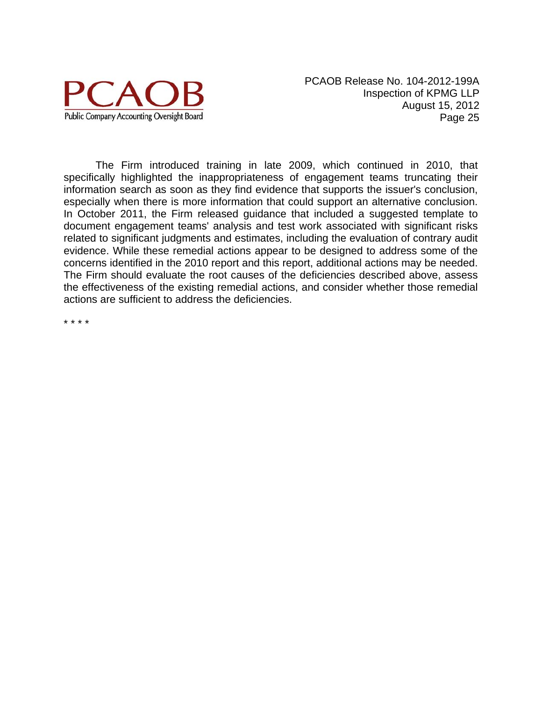

The Firm introduced training in late 2009, which continued in 2010, that specifically highlighted the inappropriateness of engagement teams truncating their information search as soon as they find evidence that supports the issuer's conclusion, especially when there is more information that could support an alternative conclusion. In October 2011, the Firm released guidance that included a suggested template to document engagement teams' analysis and test work associated with significant risks related to significant judgments and estimates, including the evaluation of contrary audit evidence. While these remedial actions appear to be designed to address some of the concerns identified in the 2010 report and this report, additional actions may be needed. The Firm should evaluate the root causes of the deficiencies described above, assess the effectiveness of the existing remedial actions, and consider whether those remedial actions are sufficient to address the deficiencies.

\* \* \* \*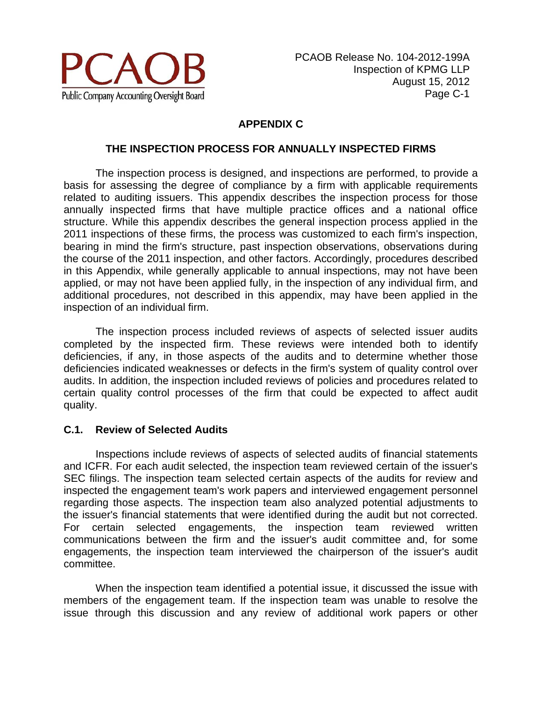

# **APPENDIX C**

#### **THE INSPECTION PROCESS FOR ANNUALLY INSPECTED FIRMS**

The inspection process is designed, and inspections are performed, to provide a basis for assessing the degree of compliance by a firm with applicable requirements related to auditing issuers. This appendix describes the inspection process for those annually inspected firms that have multiple practice offices and a national office structure. While this appendix describes the general inspection process applied in the 2011 inspections of these firms, the process was customized to each firm's inspection, bearing in mind the firm's structure, past inspection observations, observations during the course of the 2011 inspection, and other factors. Accordingly, procedures described in this Appendix, while generally applicable to annual inspections, may not have been applied, or may not have been applied fully, in the inspection of any individual firm, and additional procedures, not described in this appendix, may have been applied in the inspection of an individual firm.

The inspection process included reviews of aspects of selected issuer audits completed by the inspected firm. These reviews were intended both to identify deficiencies, if any, in those aspects of the audits and to determine whether those deficiencies indicated weaknesses or defects in the firm's system of quality control over audits. In addition, the inspection included reviews of policies and procedures related to certain quality control processes of the firm that could be expected to affect audit quality.

#### **C.1. Review of Selected Audits**

Inspections include reviews of aspects of selected audits of financial statements and ICFR. For each audit selected, the inspection team reviewed certain of the issuer's SEC filings. The inspection team selected certain aspects of the audits for review and inspected the engagement team's work papers and interviewed engagement personnel regarding those aspects. The inspection team also analyzed potential adjustments to the issuer's financial statements that were identified during the audit but not corrected. For certain selected engagements, the inspection team reviewed written communications between the firm and the issuer's audit committee and, for some engagements, the inspection team interviewed the chairperson of the issuer's audit committee.

When the inspection team identified a potential issue, it discussed the issue with members of the engagement team. If the inspection team was unable to resolve the issue through this discussion and any review of additional work papers or other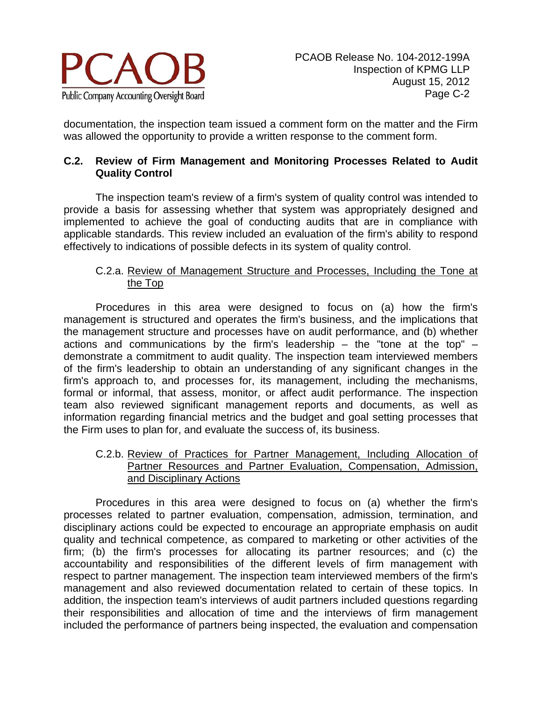

documentation, the inspection team issued a comment form on the matter and the Firm was allowed the opportunity to provide a written response to the comment form.

### **C.2. Review of Firm Management and Monitoring Processes Related to Audit Quality Control**

The inspection team's review of a firm's system of quality control was intended to provide a basis for assessing whether that system was appropriately designed and implemented to achieve the goal of conducting audits that are in compliance with applicable standards. This review included an evaluation of the firm's ability to respond effectively to indications of possible defects in its system of quality control.

### C.2.a. Review of Management Structure and Processes, Including the Tone at the Top

Procedures in this area were designed to focus on (a) how the firm's management is structured and operates the firm's business, and the implications that the management structure and processes have on audit performance, and (b) whether actions and communications by the firm's leadership – the "tone at the top" – demonstrate a commitment to audit quality. The inspection team interviewed members of the firm's leadership to obtain an understanding of any significant changes in the firm's approach to, and processes for, its management, including the mechanisms, formal or informal, that assess, monitor, or affect audit performance. The inspection team also reviewed significant management reports and documents, as well as information regarding financial metrics and the budget and goal setting processes that the Firm uses to plan for, and evaluate the success of, its business.

C.2.b. Review of Practices for Partner Management, Including Allocation of Partner Resources and Partner Evaluation, Compensation, Admission, and Disciplinary Actions

Procedures in this area were designed to focus on (a) whether the firm's processes related to partner evaluation, compensation, admission, termination, and disciplinary actions could be expected to encourage an appropriate emphasis on audit quality and technical competence, as compared to marketing or other activities of the firm; (b) the firm's processes for allocating its partner resources; and (c) the accountability and responsibilities of the different levels of firm management with respect to partner management. The inspection team interviewed members of the firm's management and also reviewed documentation related to certain of these topics. In addition, the inspection team's interviews of audit partners included questions regarding their responsibilities and allocation of time and the interviews of firm management included the performance of partners being inspected, the evaluation and compensation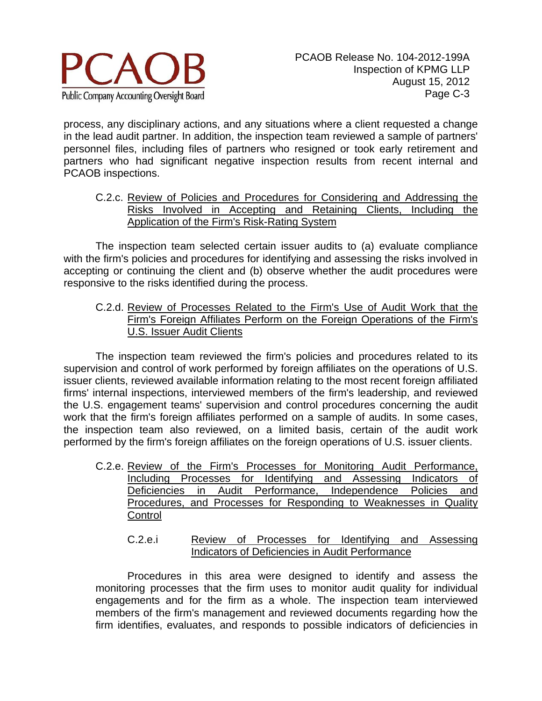

process, any disciplinary actions, and any situations where a client requested a change in the lead audit partner. In addition, the inspection team reviewed a sample of partners' personnel files, including files of partners who resigned or took early retirement and partners who had significant negative inspection results from recent internal and PCAOB inspections.

C.2.c. Review of Policies and Procedures for Considering and Addressing the Risks Involved in Accepting and Retaining Clients, Including the Application of the Firm's Risk-Rating System

The inspection team selected certain issuer audits to (a) evaluate compliance with the firm's policies and procedures for identifying and assessing the risks involved in accepting or continuing the client and (b) observe whether the audit procedures were responsive to the risks identified during the process.

C.2.d. Review of Processes Related to the Firm's Use of Audit Work that the Firm's Foreign Affiliates Perform on the Foreign Operations of the Firm's U.S. Issuer Audit Clients

The inspection team reviewed the firm's policies and procedures related to its supervision and control of work performed by foreign affiliates on the operations of U.S. issuer clients, reviewed available information relating to the most recent foreign affiliated firms' internal inspections, interviewed members of the firm's leadership, and reviewed the U.S. engagement teams' supervision and control procedures concerning the audit work that the firm's foreign affiliates performed on a sample of audits. In some cases, the inspection team also reviewed, on a limited basis, certain of the audit work performed by the firm's foreign affiliates on the foreign operations of U.S. issuer clients.

- C.2.e. Review of the Firm's Processes for Monitoring Audit Performance, Including Processes for Identifying and Assessing Indicators of Deficiencies in Audit Performance, Independence Policies and Procedures, and Processes for Responding to Weaknesses in Quality **Control** 
	- C.2.e.i Review of Processes for Identifying and Assessing Indicators of Deficiencies in Audit Performance

Procedures in this area were designed to identify and assess the monitoring processes that the firm uses to monitor audit quality for individual engagements and for the firm as a whole. The inspection team interviewed members of the firm's management and reviewed documents regarding how the firm identifies, evaluates, and responds to possible indicators of deficiencies in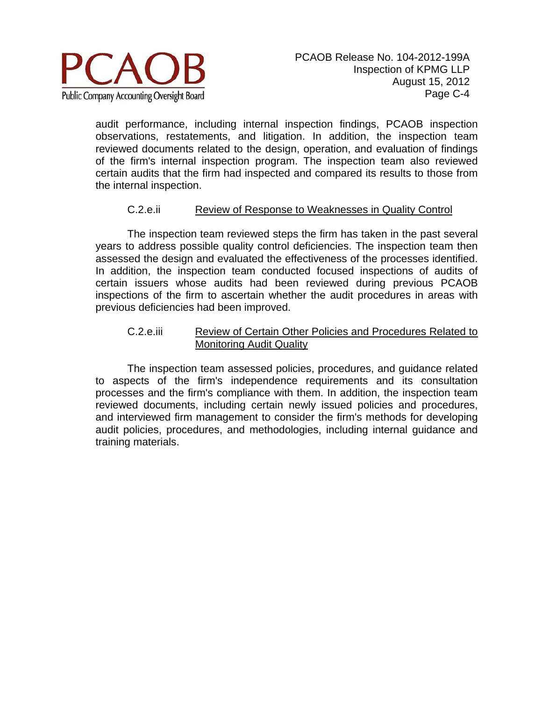

audit performance, including internal inspection findings, PCAOB inspection observations, restatements, and litigation. In addition, the inspection team reviewed documents related to the design, operation, and evaluation of findings of the firm's internal inspection program. The inspection team also reviewed certain audits that the firm had inspected and compared its results to those from the internal inspection.

#### C.2.e.ii Review of Response to Weaknesses in Quality Control

The inspection team reviewed steps the firm has taken in the past several years to address possible quality control deficiencies. The inspection team then assessed the design and evaluated the effectiveness of the processes identified. In addition, the inspection team conducted focused inspections of audits of certain issuers whose audits had been reviewed during previous PCAOB inspections of the firm to ascertain whether the audit procedures in areas with previous deficiencies had been improved.

#### C.2.e.iii Review of Certain Other Policies and Procedures Related to Monitoring Audit Quality

The inspection team assessed policies, procedures, and guidance related to aspects of the firm's independence requirements and its consultation processes and the firm's compliance with them. In addition, the inspection team reviewed documents, including certain newly issued policies and procedures, and interviewed firm management to consider the firm's methods for developing audit policies, procedures, and methodologies, including internal guidance and training materials.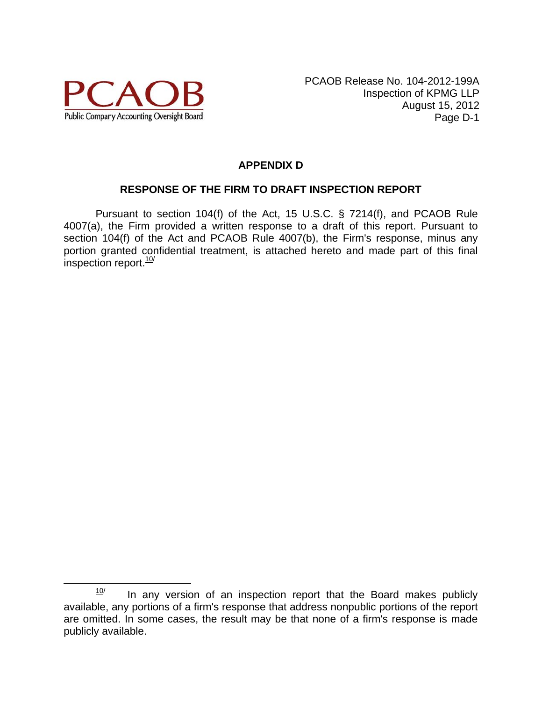

# **APPENDIX D**

#### **RESPONSE OF THE FIRM TO DRAFT INSPECTION REPORT**

Pursuant to section 104(f) of the Act, 15 U.S.C. § 7214(f), and PCAOB Rule 4007(a), the Firm provided a written response to a draft of this report. Pursuant to section 104(f) of the Act and PCAOB Rule 4007(b), the Firm's response, minus any portion granted confidential treatment, is attached hereto and made part of this final inspection report. $10$ /

 $10$  In any version of an inspection report that the Board makes publicly available, any portions of a firm's response that address nonpublic portions of the report are omitted. In some cases, the result may be that none of a firm's response is made publicly available.